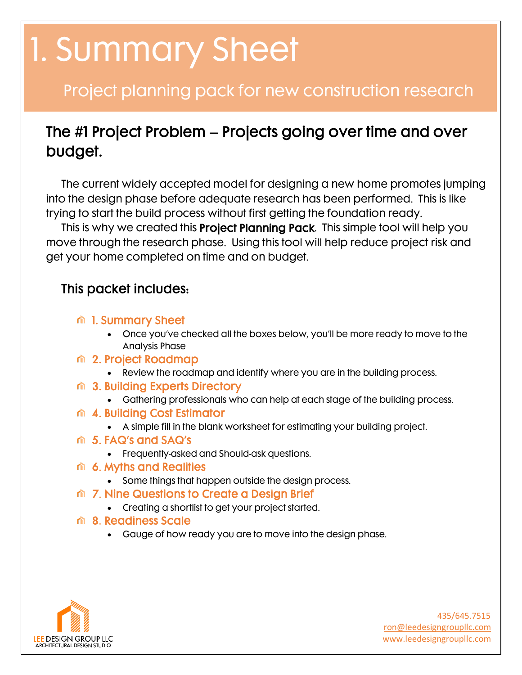# 1. Summary Sheet

# Project planning pack for new construction research

# The #1 Project Problem – Projects going over time and over budget.

The current widely accepted model for designing a new home promotes jumping into the design phase before adequate research has been performed. This is like trying to start the build process without first getting the foundation ready.

This is why we created this Project Planning Pack. This simple tool will help you move through the research phase. Using this tool will help reduce project risk and get your home completed on time and on budget.

### This packet includes:

#### 1. Summary Sheet

- Once you've checked all the boxes below, you'll be more ready to move to the Analysis Phase
- 2. Project Roadmap
	- Review the roadmap and identify where you are in the building process.
- **13. Building Experts Directory** 
	- Gathering professionals who can help at each stage of the building process.
- 4. Building Cost Estimator
	- A simple fill in the blank worksheet for estimating your building project.
- 5. FAQ's and SAQ's
	- Frequently-asked and Should-ask questions.
- 6. Myths and Realities
	- Some things that happen outside the design process.
- 7. Nine Questions to Create a Design Brief
	- Creating a shortlist to get your project started.
- **n 8. Readiness Scale** 
	- Gauge of how ready you are to move into the design phase.

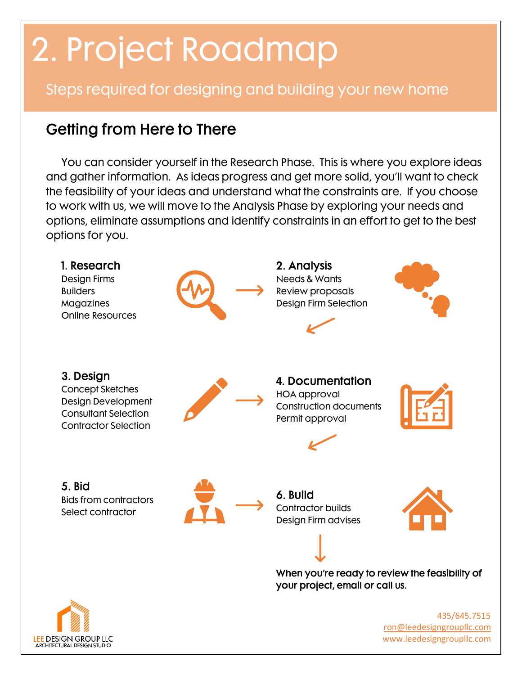# 2. Project Roadmap

# Steps required for designing and building your new home

# Getting from Here to There

You can consider yourself in the Research Phase. This is where you explore ideas and gather information. As ideas progress and get more solid, you'll want to check the feasibility of your ideas and understand what the constraints are. If you choose to work with us, we will move to the Analysis Phase by exploring your needs and options, eliminate assumptions and identify constraints in an effort to get to the best options for you.



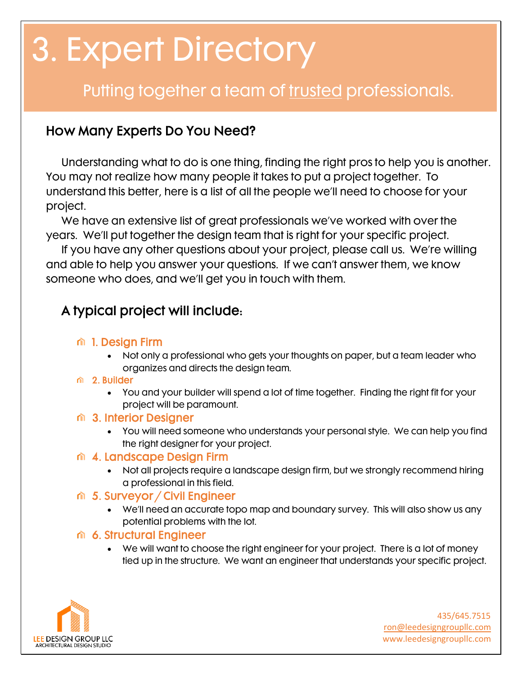# 3. Expert Directory

# Putting together a team of trusted professionals.

### How Many Experts Do You Need?

Understanding what to do is one thing, finding the right pros to help you is another. You may not realize how many people it takes to put a project together. To understand this better, here is a list of all the people we'll need to choose for your project.

We have an extensive list of great professionals we've worked with over the years. We'll put together the design team that is right for your specific project.

If you have any other questions about your project, please call us. We're willing and able to help you answer your questions. If we can't answer them, we know someone who does, and we'll get you in touch with them.

### A typical project will include:

#### m 1. Design Firm

- Not only a professional who gets your thoughts on paper, but a team leader who organizes and directs the design team.
- 2. Builder
	- You and your builder will spend a lot of time together. Finding the right fit for your project will be paramount.

#### **13. Interior Designer**

• You will need someone who understands your personal style. We can help you find the right designer for your project.

#### 4. Landscape Design Firm

• Not all projects require a landscape design firm, but we strongly recommend hiring a professional in this field.

#### 5. Surveyor / Civil Engineer

• We'll need an accurate topo map and boundary survey. This will also show us any potential problems with the lot.

#### **n** 6. Structural Engineer

• We will want to choose the right engineer for your project. There is a lot of money tied up in the structure. We want an engineer that understands your specific project.

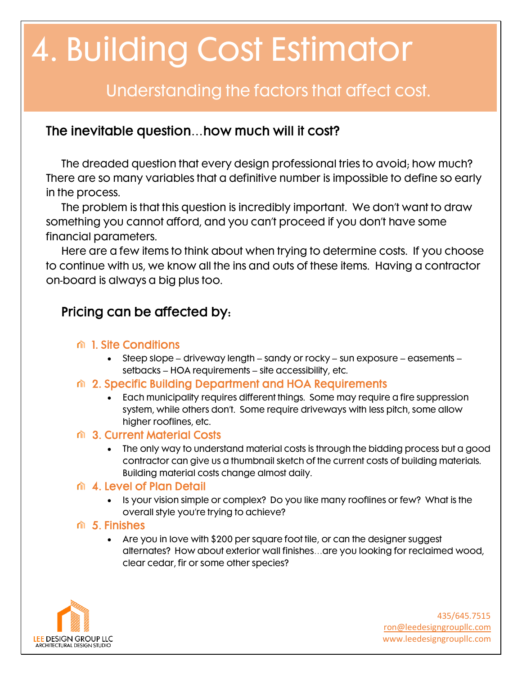# 4. Building Cost Estimator

# Understanding the factors that affect cost.

### The inevitable question…how much will it cost?

The dreaded question that every design professional tries to avoid; how much? There are so many variables that a definitive number is impossible to define so early in the process.

The problem is that this question is incredibly important. We don't want to draw something you cannot afford, and you can't proceed if you don't have some financial parameters.

Here are a few items to think about when trying to determine costs. If you choose to continue with us, we know all the ins and outs of these items. Having a contractor on-board is always a big plus too.

### Pricing can be affected by:

#### n 1. Site Conditions

- Steep slope driveway length sandy or rocky sun exposure easements setbacks – HOA requirements – site accessibility, etc.
- 2. Specific Building Department and HOA Requirements
	- Each municipality requires different things. Some may require a fire suppression system, while others don't. Some require driveways with less pitch, some allow higher rooflines, etc.

#### **n 3. Current Material Costs**

• The only way to understand material costs is through the bidding process but a good contractor can give us a thumbnail sketch of the current costs of building materials. Building material costs change almost daily.

#### 4. Level of Plan Detail

• Is your vision simple or complex? Do you like many rooflines or few? What is the overall style you're trying to achieve?

#### 5. Finishes

• Are you in love with \$200 per square foot tile, or can the designer suggest alternates? How about exterior wall finishes…are you looking for reclaimed wood, clear cedar, fir or some other species?

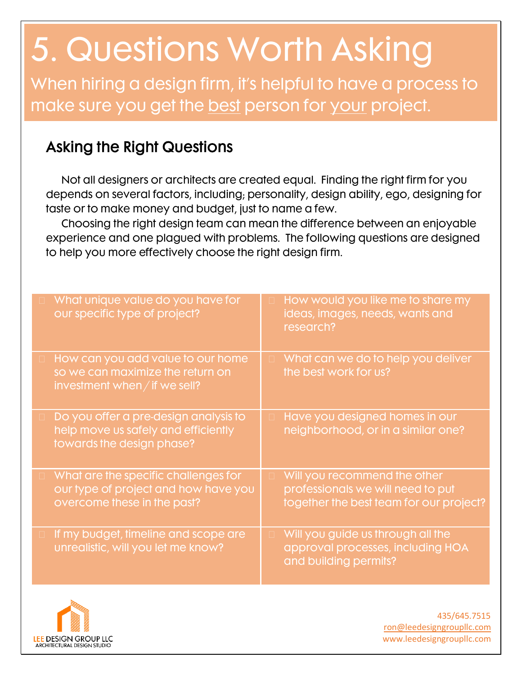# 5. Questions Worth Asking

When hiring a design firm, it's helpful to have a process to make sure you get the best person for your project.

# Asking the Right Questions

Not all designers or architects are created equal. Finding the right firm for you depends on several factors, including; personality, design ability, ego, designing for taste or to make money and budget, just to name a few.

Choosing the right design team can mean the difference between an enjoyable experience and one plagued with problems. The following questions are designed to help you more effectively choose the right design firm.

| What unique value do you have for<br>our specific type of project?                                          | How would you like me to share my<br>ideas, images, needs, wants and<br>research?                            |
|-------------------------------------------------------------------------------------------------------------|--------------------------------------------------------------------------------------------------------------|
| How can you add value to our home<br>so we can maximize the return on<br>investment when $/$ if we sell?    | What can we do to help you deliver<br>the best work for us?                                                  |
| Do you offer a pre-design analysis to<br>help move us safely and efficiently<br>towards the design phase?   | Have you designed homes in our<br>neighborhood, or in a similar one?                                         |
| What are the specific challenges for<br>our type of project and how have you<br>overcome these in the past? | Will you recommend the other<br>professionals we will need to put<br>together the best team for our project? |
| If my budget, timeline and scope are<br>unrealistic, will you let me know?                                  | Will you guide us through all the<br>approval processes, including HOA<br>and building permits?              |

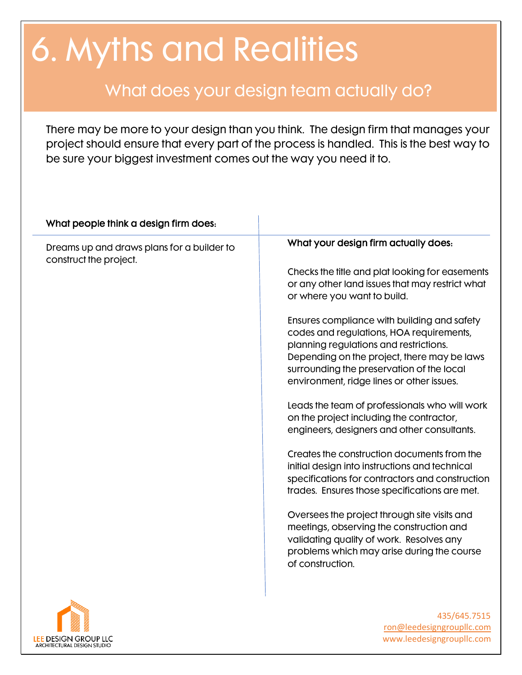# 6. Myths and Realities

# What does your design team actually do?

There may be more to your design than you think. The design firm that manages your project should ensure that every part of the process is handled. This is the best way to be sure your biggest investment comes out the way you need it to.

| What people think a design firm does:                                |                                                                                                                                                                                                                                                                                                                                                                                                                                                                                                                                                                                                                                                                                                                                                                                                                                                                                                                                                                                                                    |
|----------------------------------------------------------------------|--------------------------------------------------------------------------------------------------------------------------------------------------------------------------------------------------------------------------------------------------------------------------------------------------------------------------------------------------------------------------------------------------------------------------------------------------------------------------------------------------------------------------------------------------------------------------------------------------------------------------------------------------------------------------------------------------------------------------------------------------------------------------------------------------------------------------------------------------------------------------------------------------------------------------------------------------------------------------------------------------------------------|
| Dreams up and draws plans for a builder to<br>construct the project. | What your design firm actually does:<br>Checks the title and plat looking for easements<br>or any other land issues that may restrict what<br>or where you want to build.<br>Ensures compliance with building and safety<br>codes and regulations, HOA requirements,<br>planning regulations and restrictions.<br>Depending on the project, there may be laws<br>surrounding the preservation of the local<br>environment, ridge lines or other issues.<br>Leads the team of professionals who will work<br>on the project including the contractor,<br>engineers, designers and other consultants.<br>Creates the construction documents from the<br>initial design into instructions and technical<br>specifications for contractors and construction<br>trades. Ensures those specifications are met.<br>Oversees the project through site visits and<br>meetings, observing the construction and<br>validating quality of work. Resolves any<br>problems which may arise during the course<br>of construction. |
|                                                                      | 135/6157515                                                                                                                                                                                                                                                                                                                                                                                                                                                                                                                                                                                                                                                                                                                                                                                                                                                                                                                                                                                                        |

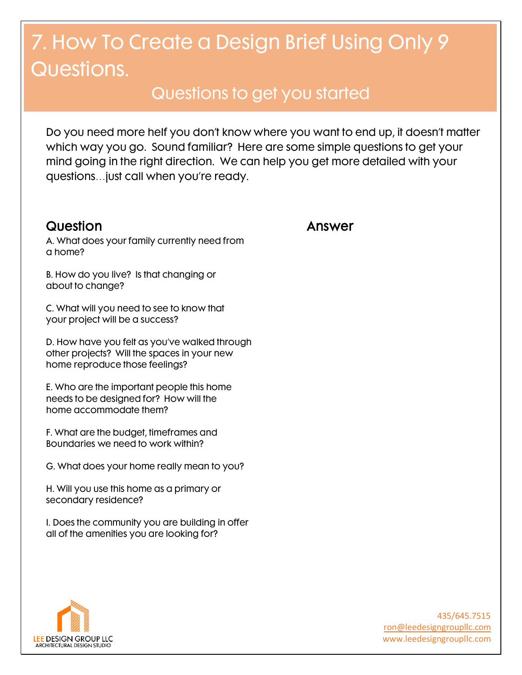# 7. How To Create a Design Brief Using Only 9 Questions.

# Questions to get you started

Do you need more helf you don't know where you want to end up, it doesn't matter which way you go. Sound familiar? Here are some simple questions to get your mind going in the right direction. We can help you get more detailed with your questions…just call when you're ready.

#### Question Answer

A. What does your family currently need from a home?

B. How do you live? Is that changing or about to change?

C. What will you need to see to know that your project will be a success?

D. How have you felt as you've walked through other projects? Will the spaces in your new home reproduce those feelings?

E. Who are the important people this home needs to be designed for? How will the home accommodate them?

F. What are the budget, timeframes and Boundaries we need to work within?

G. What does your home really mean to you?

H. Will you use this home as a primary or secondary residence?

I. Does the community you are building in offer all of the amenities you are looking for?